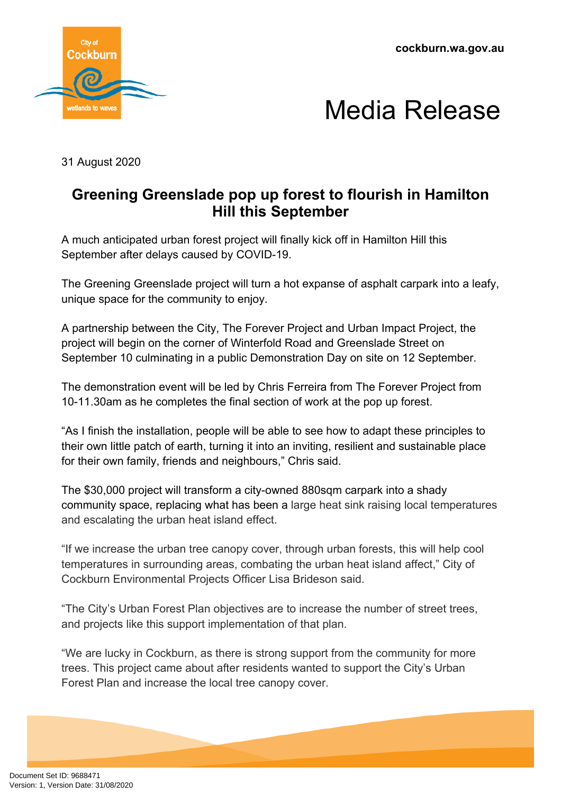



31 August 2020

## **Greening Greenslade pop up forest to flourish in Hamilton Hill this September**

A much anticipated urban forest project will finally kick off in Hamilton Hill this September after delays caused by COVID-19.

The Greening Greenslade project will turn a hot expanse of asphalt carpark into a leafy, unique space for the community to enjoy.

A partnership between the City, The Forever Project and Urban Impact Project, the project will begin on the corner of Winterfold Road and Greenslade Street on September 10 culminating in a public Demonstration Day on site on 12 September.

The demonstration event will be led by Chris Ferreira from The Forever Project from 10-11.30am as he completes the final section of work at the pop up forest.

"As I finish the installation, people will be able to see how to adapt these principles to their own little patch of earth, turning it into an inviting, resilient and sustainable place for their own family, friends and neighbours," Chris said.

The \$30,000 project will transform a city-owned 880sqm carpark into a shady community space, replacing what has been a large heat sink raising local temperatures and escalating the urban heat island effect.

"If we increase the urban tree canopy cover, through urban forests, this will help cool temperatures in surrounding areas, combating the urban heat island affect," City of Cockburn Environmental Projects Officer Lisa Brideson said.

"The City's Urban Forest Plan objectives are to increase the number of street trees, and projects like this support implementation of that plan.

"We are lucky in Cockburn, as there is strong support from the community for more trees. This project came about after residents wanted to support the City's Urban Forest Plan and increase the local tree canopy cover.

Document Set ID: 9688471<br>Version: 1, Version Date: 31/08/2020